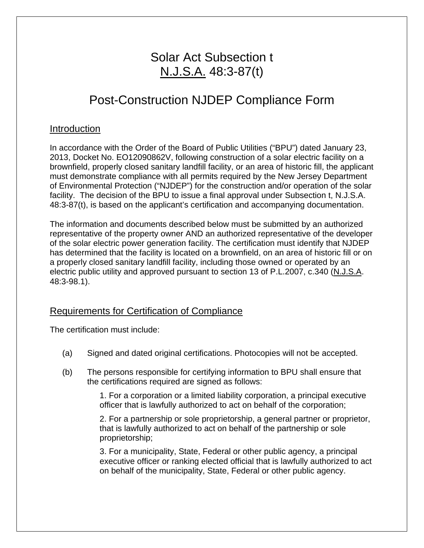# Solar Act Subsection t N.J.S.A. 48:3-87(t)

# Post-Construction NJDEP Compliance Form

### Introduction

In accordance with the Order of the Board of Public Utilities ("BPU") dated January 23, 2013, Docket No. EO12090862V, following construction of a solar electric facility on a brownfield, properly closed sanitary landfill facility, or an area of historic fill, the applicant must demonstrate compliance with all permits required by the New Jersey Department of Environmental Protection ("NJDEP") for the construction and/or operation of the solar facility. The decision of the BPU to issue a final approval under Subsection t, N.J.S.A. 48:3-87(t), is based on the applicant's certification and accompanying documentation.

The information and documents described below must be submitted by an authorized representative of the property owner AND an authorized representative of the developer of the solar electric power generation facility. The certification must identify that NJDEP has determined that the facility is located on a brownfield, on an area of historic fill or on a properly closed sanitary landfill facility, including those owned or operated by an electric public utility and approved pursuant to section 13 of P.L.2007, c.340 (N.J.S.A. 48:3-98.1).

## Requirements for Certification of Compliance

The certification must include:

- (a) Signed and dated original certifications. Photocopies will not be accepted.
- (b) The persons responsible for certifying information to BPU shall ensure that the certifications required are signed as follows:

1. For a corporation or a limited liability corporation, a principal executive officer that is lawfully authorized to act on behalf of the corporation;

2. For a partnership or sole proprietorship, a general partner or proprietor, that is lawfully authorized to act on behalf of the partnership or sole proprietorship;

3. For a municipality, State, Federal or other public agency, a principal executive officer or ranking elected official that is lawfully authorized to act on behalf of the municipality, State, Federal or other public agency.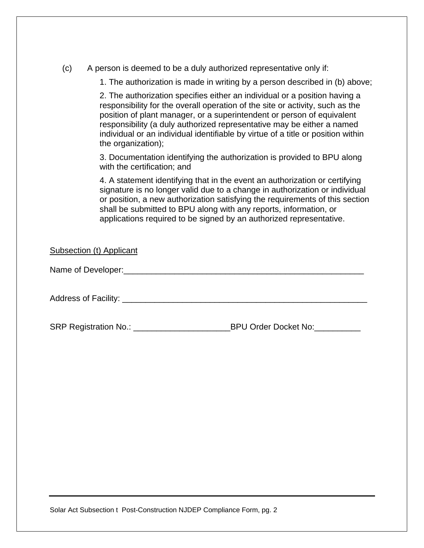| (c) |  |  |  | A person is deemed to be a duly authorized representative only if: |  |  |
|-----|--|--|--|--------------------------------------------------------------------|--|--|
|     |  |  |  |                                                                    |  |  |

1. The authorization is made in writing by a person described in (b) above;

2. The authorization specifies either an individual or a position having a responsibility for the overall operation of the site or activity, such as the position of plant manager, or a superintendent or person of equivalent responsibility (a duly authorized representative may be either a named individual or an individual identifiable by virtue of a title or position within the organization);

3. Documentation identifying the authorization is provided to BPU along with the certification; and

4. A statement identifying that in the event an authorization or certifying signature is no longer valid due to a change in authorization or individual or position, a new authorization satisfying the requirements of this section shall be submitted to BPU along with any reports, information, or applications required to be signed by an authorized representative.

Subsection (t) Applicant

Name of Developer:\_\_\_\_\_\_\_\_\_\_\_\_\_\_\_\_\_\_\_\_\_\_\_\_\_\_\_\_\_\_\_\_\_\_\_\_\_\_\_\_\_\_\_\_\_\_\_\_\_\_\_\_

Address of Facility:  $\blacksquare$ 

SRP Registration No.: \_\_\_\_\_\_\_\_\_\_\_\_\_\_\_\_\_\_\_\_\_\_\_\_\_\_\_\_\_\_BPU Order Docket No:\_\_\_\_\_\_\_\_

Solar Act Subsection t Post-Construction NJDEP Compliance Form, pg. 2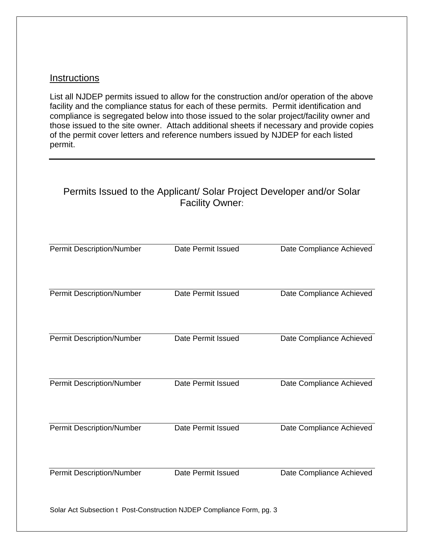### **Instructions**

List all NJDEP permits issued to allow for the construction and/or operation of the above facility and the compliance status for each of these permits. Permit identification and compliance is segregated below into those issued to the solar project/facility owner and those issued to the site owner. Attach additional sheets if necessary and provide copies of the permit cover letters and reference numbers issued by NJDEP for each listed permit.

## Permits Issued to the Applicant/ Solar Project Developer and/or Solar Facility Owner:

| <b>Permit Description/Number</b>                                      | Date Permit Issued | Date Compliance Achieved |  |  |  |  |
|-----------------------------------------------------------------------|--------------------|--------------------------|--|--|--|--|
| <b>Permit Description/Number</b>                                      | Date Permit Issued | Date Compliance Achieved |  |  |  |  |
| <b>Permit Description/Number</b>                                      | Date Permit Issued | Date Compliance Achieved |  |  |  |  |
| <b>Permit Description/Number</b>                                      | Date Permit Issued | Date Compliance Achieved |  |  |  |  |
| <b>Permit Description/Number</b>                                      | Date Permit Issued | Date Compliance Achieved |  |  |  |  |
| <b>Permit Description/Number</b>                                      | Date Permit Issued | Date Compliance Achieved |  |  |  |  |
| Solar Act Subsection t Post-Construction NJDEP Compliance Form, pg. 3 |                    |                          |  |  |  |  |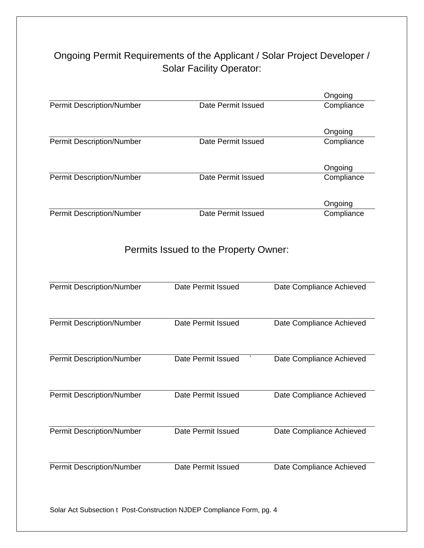## Ongoing Permit Requirements of the Applicant / Solar Project Developer / Solar Facility Operator:

|                                                                       |                                       | Ongoing                  |
|-----------------------------------------------------------------------|---------------------------------------|--------------------------|
| <b>Permit Description/Number</b>                                      | Date Permit Issued                    | Compliance               |
|                                                                       |                                       | Ongoing                  |
| <b>Permit Description/Number</b>                                      | Date Permit Issued                    | Compliance               |
|                                                                       |                                       | Ongoing                  |
| <b>Permit Description/Number</b>                                      | Date Permit Issued                    | Compliance               |
|                                                                       |                                       | Ongoing                  |
| <b>Permit Description/Number</b>                                      | Date Permit Issued                    | Compliance               |
|                                                                       | Permits Issued to the Property Owner: |                          |
| <b>Permit Description/Number</b>                                      | Date Permit Issued                    | Date Compliance Achieved |
|                                                                       |                                       |                          |
| <b>Permit Description/Number</b>                                      | Date Permit Issued                    | Date Compliance Achieved |
| <b>Permit Description/Number</b>                                      | Date Permit Issued                    | Date Compliance Achieved |
| <b>Permit Description/Number</b>                                      | Date Permit Issued                    | Date Compliance Achieved |
| <b>Permit Description/Number</b>                                      | Date Permit Issued                    | Date Compliance Achieved |
|                                                                       |                                       |                          |
| <b>Permit Description/Number</b>                                      | Date Permit Issued                    | Date Compliance Achieved |
| Solar Act Subsection t Post-Construction NJDEP Compliance Form, pg. 4 |                                       |                          |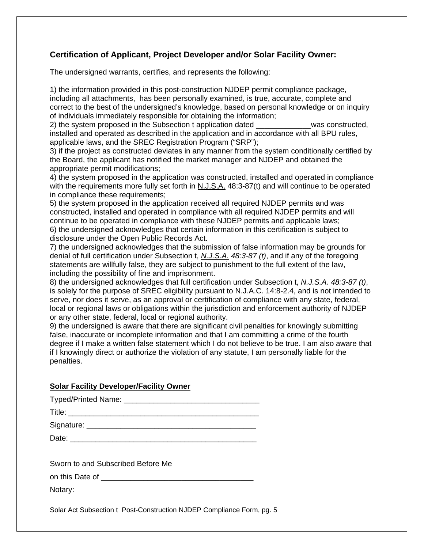### **Certification of Applicant, Project Developer and/or Solar Facility Owner:**

The undersigned warrants, certifies, and represents the following:

1) the information provided in this post-construction NJDEP permit compliance package, including all attachments, has been personally examined, is true, accurate, complete and correct to the best of the undersigned's knowledge, based on personal knowledge or on inquiry of individuals immediately responsible for obtaining the information;

2) the system proposed in the Subsection t application dated \_\_\_\_\_\_\_\_\_\_\_\_\_was constructed, installed and operated as described in the application and in accordance with all BPU rules, applicable laws, and the SREC Registration Program ("SRP");

3) if the project as constructed deviates in any manner from the system conditionally certified by the Board, the applicant has notified the market manager and NJDEP and obtained the appropriate permit modifications;

4) the system proposed in the application was constructed, installed and operated in compliance with the requirements more fully set forth in N.J.S.A. 48:3-87(t) and will continue to be operated in compliance these requirements;

5) the system proposed in the application received all required NJDEP permits and was constructed, installed and operated in compliance with all required NJDEP permits and will continue to be operated in compliance with these NJDEP permits and applicable laws; 6) the undersigned acknowledges that certain information in this certification is subject to disclosure under the Open Public Records Act.

7) the undersigned acknowledges that the submission of false information may be grounds for denial of full certification under Subsection t, *N.J.S.A. 48:3-87 (t)*, and if any of the foregoing statements are willfully false, they are subject to punishment to the full extent of the law, including the possibility of fine and imprisonment.

8) the undersigned acknowledges that full certification under Subsection t, *N.J.S.A. 48:3-87 (t)*, is solely for the purpose of SREC eligibility pursuant to N.J.A.C. 14:8-2.4, and is not intended to serve, nor does it serve, as an approval or certification of compliance with any state, federal, local or regional laws or obligations within the jurisdiction and enforcement authority of NJDEP or any other state, federal, local or regional authority.

9) the undersigned is aware that there are significant civil penalties for knowingly submitting false, inaccurate or incomplete information and that I am committing a crime of the fourth degree if I make a written false statement which I do not believe to be true. I am also aware that if I knowingly direct or authorize the violation of any statute, I am personally liable for the penalties.

### **Solar Facility Developer/Facility Owner**

| <b>Typed/Printed Name:</b> |  |
|----------------------------|--|
| Title:                     |  |
| Signature:                 |  |
| Date:                      |  |

Sworn to and Subscribed Before Me

on this Date of **Example 20** 

Notary:

Solar Act Subsection t Post-Construction NJDEP Compliance Form, pg. 5